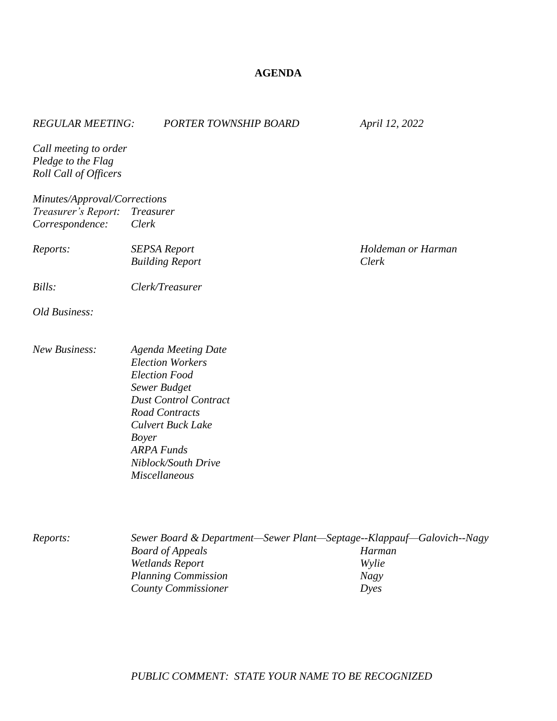## **AGENDA**

| <b>REGULAR MEETING:</b>                                                          | <b>PORTER TOWNSHIP BOARD</b>                                                                  | April 12, 2022              |
|----------------------------------------------------------------------------------|-----------------------------------------------------------------------------------------------|-----------------------------|
| Call meeting to order<br>Pledge to the Flag<br>Roll Call of Officers             |                                                                                               |                             |
| Minutes/Approval/Corrections<br>Treasurer's Report: Treasurer<br>Correspondence: | Clerk                                                                                         |                             |
| Reports:                                                                         | <b>SEPSA Report</b><br><b>Building Report</b>                                                 | Holdeman or Harman<br>Clerk |
| Bills:                                                                           | Clerk/Treasurer                                                                               |                             |
| Old Business:                                                                    |                                                                                               |                             |
| <b>New Business:</b>                                                             | <b>Agenda Meeting Date</b><br><b>Election Workers</b><br><b>Election Food</b><br>Sewer Budget |                             |

*Dust Control Contract*

*Niblock/South Drive Miscellaneous* 

*Road Contracts Culvert Buck Lake*

*ARPA Funds*

*Boyer*

*Reports: Sewer Board & Department—Sewer Plant—Septage--Klappauf—Galovich--Nagy Board of Appeals Harman Wetlands Report Wylie Planning Commission Nagy County Commissioner Dyes*